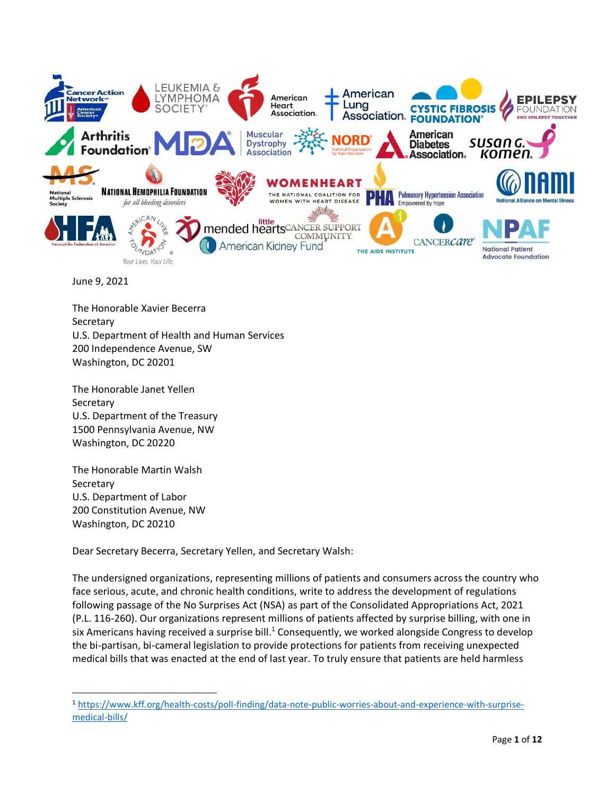

June 9, 2021

The Honorable Xavier Becerra **Secretary** U.S. Department of Health and Human Services 200 Independence Avenue, SW Washington, DC 20201

The Honorable Janet Yellen **Secretary** U.S. Department of the Treasury 1500 Pennsylvania Avenue, NW Washington, DC 20220

The Honorable Martin Walsh **Secretary** U.S. Department of Labor 200 Constitution Avenue, NW Washington, DC 20210

Dear Secretary Becerra, Secretary Yellen, and Secretary Walsh:

The undersigned organizations, representing millions of patients and consumers across the country who face serious, acute, and chronic health conditions, write to address the development of regulations following passage of the No Surprises Act (NSA) as part of the Consolidated Appropriations Act, 2021 (P.L. 116-260). Our organizations represent millions of patients affected by surprise billing, with one in six Americans having received a surprise bill.<sup>1</sup> Consequently, we worked alongside Congress to develop the bi-partisan, bi-cameral legislation to provide protections for patients from receiving unexpected medical bills that was enacted at the end of last year. To truly ensure that patients are held harmless

<sup>1</sup> [https://www.kff.org/health-costs/poll-finding/data-note-public-worries-about-and-experience-with-surprise](https://www.kff.org/health-costs/poll-finding/data-note-public-worries-about-and-experience-with-surprise-medical-bills/)[medical-bills/](https://www.kff.org/health-costs/poll-finding/data-note-public-worries-about-and-experience-with-surprise-medical-bills/)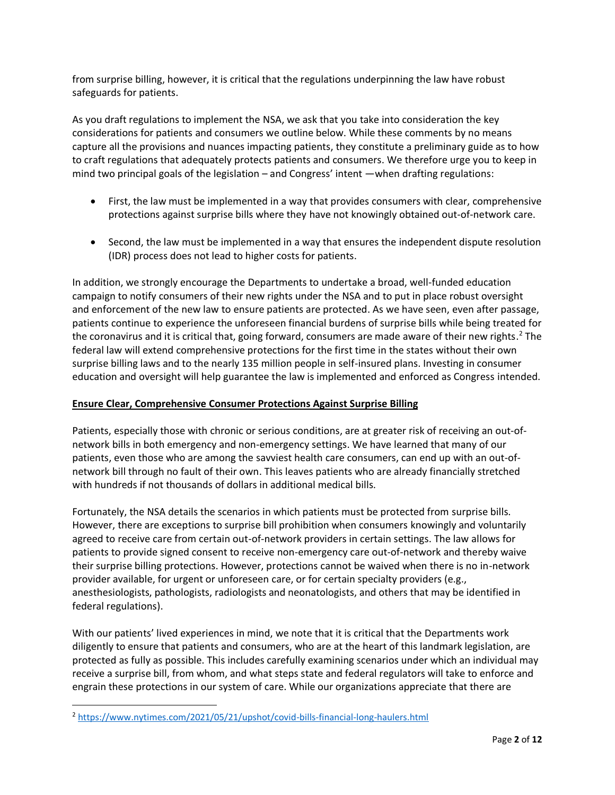from surprise billing, however, it is critical that the regulations underpinning the law have robust safeguards for patients.

As you draft regulations to implement the NSA, we ask that you take into consideration the key considerations for patients and consumers we outline below. While these comments by no means capture all the provisions and nuances impacting patients, they constitute a preliminary guide as to how to craft regulations that adequately protects patients and consumers. We therefore urge you to keep in mind two principal goals of the legislation – and Congress' intent —when drafting regulations:

- First, the law must be implemented in a way that provides consumers with clear, comprehensive protections against surprise bills where they have not knowingly obtained out-of-network care.
- Second, the law must be implemented in a way that ensures the independent dispute resolution (IDR) process does not lead to higher costs for patients.

In addition, we strongly encourage the Departments to undertake a broad, well-funded education campaign to notify consumers of their new rights under the NSA and to put in place robust oversight and enforcement of the new law to ensure patients are protected. As we have seen, even after passage, patients continue to experience the unforeseen financial burdens of surprise bills while being treated for the coronavirus and it is critical that, going forward, consumers are made aware of their new rights. <sup>2</sup> The federal law will extend comprehensive protections for the first time in the states without their own surprise billing laws and to the nearly 135 million people in self-insured plans. Investing in consumer education and oversight will help guarantee the law is implemented and enforced as Congress intended.

# **Ensure Clear, Comprehensive Consumer Protections Against Surprise Billing**

Patients, especially those with chronic or serious conditions, are at greater risk of receiving an out-ofnetwork bills in both emergency and non-emergency settings. We have learned that many of our patients, even those who are among the savviest health care consumers, can end up with an out-ofnetwork bill through no fault of their own. This leaves patients who are already financially stretched with hundreds if not thousands of dollars in additional medical bills.

Fortunately, the NSA details the scenarios in which patients must be protected from surprise bills. However, there are exceptions to surprise bill prohibition when consumers knowingly and voluntarily agreed to receive care from certain out-of-network providers in certain settings. The law allows for patients to provide signed consent to receive non-emergency care out-of-network and thereby waive their surprise billing protections. However, protections cannot be waived when there is no in-network provider available, for urgent or unforeseen care, or for certain specialty providers (e.g., anesthesiologists, pathologists, radiologists and neonatologists, and others that may be identified in federal regulations).

With our patients' lived experiences in mind, we note that it is critical that the Departments work diligently to ensure that patients and consumers, who are at the heart of this landmark legislation, are protected as fully as possible. This includes carefully examining scenarios under which an individual may receive a surprise bill, from whom, and what steps state and federal regulators will take to enforce and engrain these protections in our system of care. While our organizations appreciate that there are

<sup>2</sup> <https://www.nytimes.com/2021/05/21/upshot/covid-bills-financial-long-haulers.html>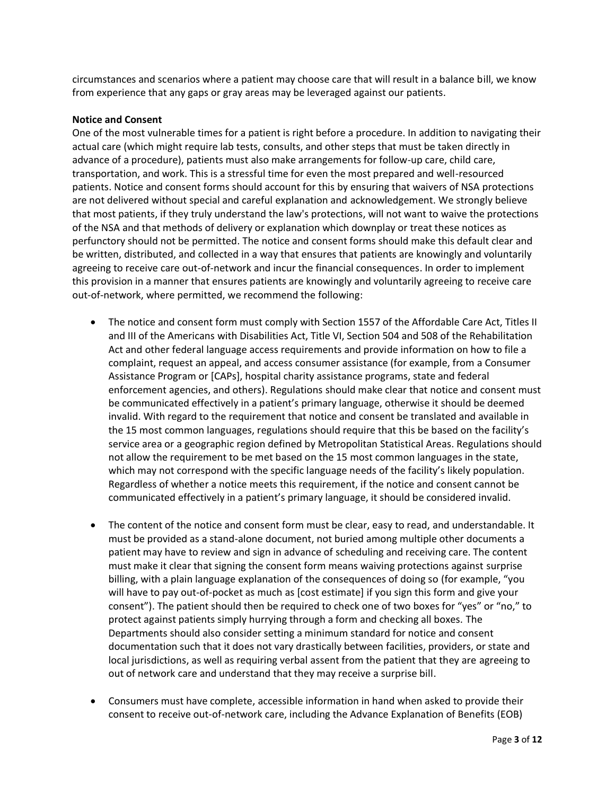circumstances and scenarios where a patient may choose care that will result in a balance bill, we know from experience that any gaps or gray areas may be leveraged against our patients.

#### **Notice and Consent**

One of the most vulnerable times for a patient is right before a procedure. In addition to navigating their actual care (which might require lab tests, consults, and other steps that must be taken directly in advance of a procedure), patients must also make arrangements for follow-up care, child care, transportation, and work. This is a stressful time for even the most prepared and well-resourced patients. Notice and consent forms should account for this by ensuring that waivers of NSA protections are not delivered without special and careful explanation and acknowledgement. We strongly believe that most patients, if they truly understand the law's protections, will not want to waive the protections of the NSA and that methods of delivery or explanation which downplay or treat these notices as perfunctory should not be permitted. The notice and consent forms should make this default clear and be written, distributed, and collected in a way that ensures that patients are knowingly and voluntarily agreeing to receive care out-of-network and incur the financial consequences. In order to implement this provision in a manner that ensures patients are knowingly and voluntarily agreeing to receive care out-of-network, where permitted, we recommend the following:

- The notice and consent form must comply with Section 1557 of the Affordable Care Act, Titles II and III of the Americans with Disabilities Act, Title VI, Section 504 and 508 of the Rehabilitation Act and other federal language access requirements and provide information on how to file a complaint, request an appeal, and access consumer assistance (for example, from a Consumer Assistance Program or [CAPs], hospital charity assistance programs, state and federal enforcement agencies, and others). Regulations should make clear that notice and consent must be communicated effectively in a patient's primary language, otherwise it should be deemed invalid. With regard to the requirement that notice and consent be translated and available in the 15 most common languages, regulations should require that this be based on the facility's service area or a geographic region defined by Metropolitan Statistical Areas. Regulations should not allow the requirement to be met based on the 15 most common languages in the state, which may not correspond with the specific language needs of the facility's likely population. Regardless of whether a notice meets this requirement, if the notice and consent cannot be communicated effectively in a patient's primary language, it should be considered invalid.
- The content of the notice and consent form must be clear, easy to read, and understandable. It must be provided as a stand-alone document, not buried among multiple other documents a patient may have to review and sign in advance of scheduling and receiving care. The content must make it clear that signing the consent form means waiving protections against surprise billing, with a plain language explanation of the consequences of doing so (for example, "you will have to pay out-of-pocket as much as [cost estimate] if you sign this form and give your consent"). The patient should then be required to check one of two boxes for "yes" or "no," to protect against patients simply hurrying through a form and checking all boxes. The Departments should also consider setting a minimum standard for notice and consent documentation such that it does not vary drastically between facilities, providers, or state and local jurisdictions, as well as requiring verbal assent from the patient that they are agreeing to out of network care and understand that they may receive a surprise bill.
- Consumers must have complete, accessible information in hand when asked to provide their consent to receive out-of-network care, including the Advance Explanation of Benefits (EOB)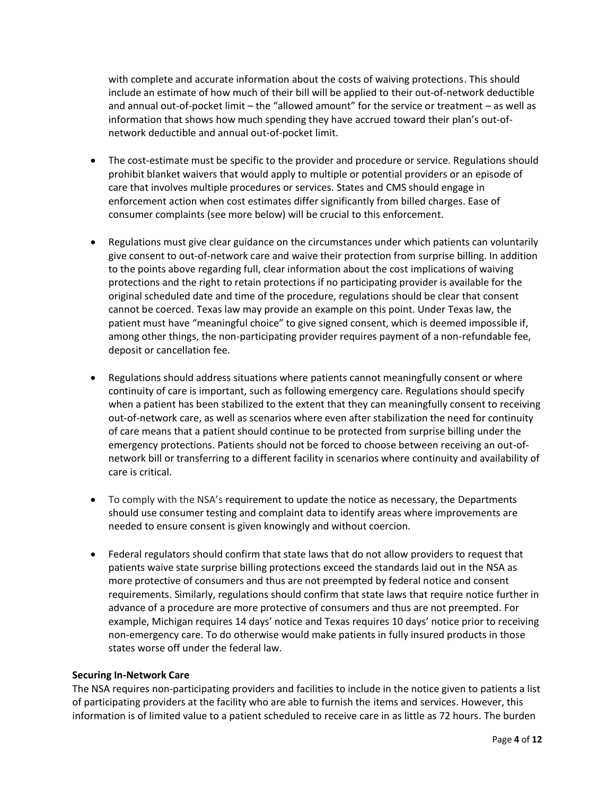with complete and accurate information about the costs of waiving protections. This should include an estimate of how much of their bill will be applied to their out-of-network deductible and annual out-of-pocket limit – the "allowed amount" for the service or treatment – as well as information that shows how much spending they have accrued toward their plan's out-ofnetwork deductible and annual out-of-pocket limit.

- The cost-estimate must be specific to the provider and procedure or service. Regulations should prohibit blanket waivers that would apply to multiple or potential providers or an episode of care that involves multiple procedures or services. States and CMS should engage in enforcement action when cost estimates differ significantly from billed charges. Ease of consumer complaints (see more below) will be crucial to this enforcement.
- Regulations must give clear guidance on the circumstances under which patients can voluntarily give consent to out-of-network care and waive their protection from surprise billing. In addition to the points above regarding full, clear information about the cost implications of waiving protections and the right to retain protections if no participating provider is available for the original scheduled date and time of the procedure, regulations should be clear that consent cannot be coerced. Texas law may provide an example on this point. Under Texas law, the patient must have "meaningful choice" to give signed consent, which is deemed impossible if, among other things, the non-participating provider requires payment of a non-refundable fee, deposit or cancellation fee.
- Regulations should address situations where patients cannot meaningfully consent or where continuity of care is important, such as following emergency care. Regulations should specify when a patient has been stabilized to the extent that they can meaningfully consent to receiving out-of-network care, as well as scenarios where even after stabilization the need for continuity of care means that a patient should continue to be protected from surprise billing under the emergency protections. Patients should not be forced to choose between receiving an out-ofnetwork bill or transferring to a different facility in scenarios where continuity and availability of care is critical.
- To comply with the NSA's requirement to update the notice as necessary, the Departments should use consumer testing and complaint data to identify areas where improvements are needed to ensure consent is given knowingly and without coercion.
- Federal regulators should confirm that state laws that do not allow providers to request that patients waive state surprise billing protections exceed the standards laid out in the NSA as more protective of consumers and thus are not preempted by federal notice and consent requirements. Similarly, regulations should confirm that state laws that require notice further in advance of a procedure are more protective of consumers and thus are not preempted. For example, Michigan requires 14 days' notice and Texas requires 10 days' notice prior to receiving non-emergency care. To do otherwise would make patients in fully insured products in those states worse off under the federal law.

#### **Securing In-Network Care**

The NSA requires non-participating providers and facilities to include in the notice given to patients a list of participating providers at the facility who are able to furnish the items and services. However, this information is of limited value to a patient scheduled to receive care in as little as 72 hours. The burden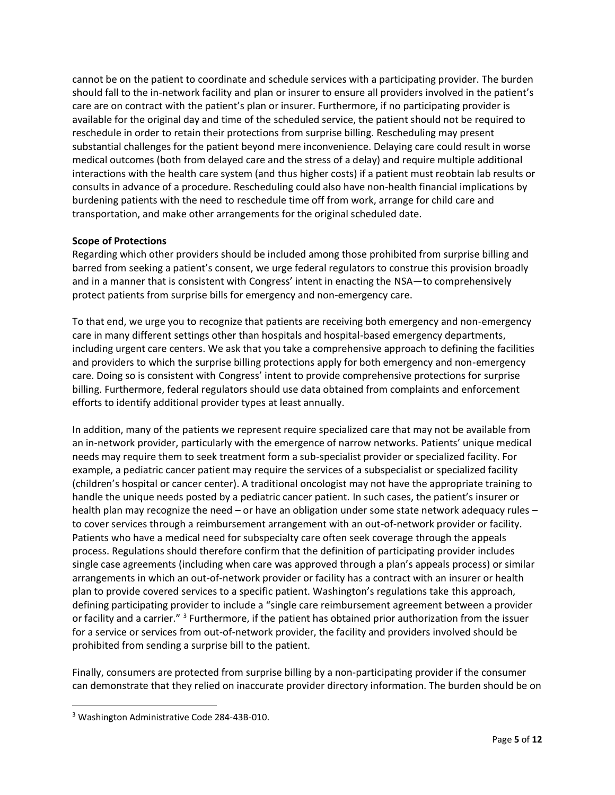cannot be on the patient to coordinate and schedule services with a participating provider. The burden should fall to the in-network facility and plan or insurer to ensure all providers involved in the patient's care are on contract with the patient's plan or insurer. Furthermore, if no participating provider is available for the original day and time of the scheduled service, the patient should not be required to reschedule in order to retain their protections from surprise billing. Rescheduling may present substantial challenges for the patient beyond mere inconvenience. Delaying care could result in worse medical outcomes (both from delayed care and the stress of a delay) and require multiple additional interactions with the health care system (and thus higher costs) if a patient must reobtain lab results or consults in advance of a procedure. Rescheduling could also have non-health financial implications by burdening patients with the need to reschedule time off from work, arrange for child care and transportation, and make other arrangements for the original scheduled date.

# **Scope of Protections**

Regarding which other providers should be included among those prohibited from surprise billing and barred from seeking a patient's consent, we urge federal regulators to construe this provision broadly and in a manner that is consistent with Congress' intent in enacting the NSA—to comprehensively protect patients from surprise bills for emergency and non-emergency care.

To that end, we urge you to recognize that patients are receiving both emergency and non-emergency care in many different settings other than hospitals and hospital-based emergency departments, including urgent care centers. We ask that you take a comprehensive approach to defining the facilities and providers to which the surprise billing protections apply for both emergency and non-emergency care. Doing so is consistent with Congress' intent to provide comprehensive protections for surprise billing. Furthermore, federal regulators should use data obtained from complaints and enforcement efforts to identify additional provider types at least annually.

In addition, many of the patients we represent require specialized care that may not be available from an in-network provider, particularly with the emergence of narrow networks. Patients' unique medical needs may require them to seek treatment form a sub-specialist provider or specialized facility. For example, a pediatric cancer patient may require the services of a subspecialist or specialized facility (children's hospital or cancer center). A traditional oncologist may not have the appropriate training to handle the unique needs posted by a pediatric cancer patient. In such cases, the patient's insurer or health plan may recognize the need – or have an obligation under some state network adequacy rules – to cover services through a reimbursement arrangement with an out-of-network provider or facility. Patients who have a medical need for subspecialty care often seek coverage through the appeals process. Regulations should therefore confirm that the definition of participating provider includes single case agreements (including when care was approved through a plan's appeals process) or similar arrangements in which an out-of-network provider or facility has a contract with an insurer or health plan to provide covered services to a specific patient. Washington's regulations take this approach, defining participating provider to include a "single care reimbursement agreement between a provider or facility and a carrier." <sup>3</sup> Furthermore, if the patient has obtained prior authorization from the issuer for a service or services from out-of-network provider, the facility and providers involved should be prohibited from sending a surprise bill to the patient.

Finally, consumers are protected from surprise billing by a non-participating provider if the consumer can demonstrate that they relied on inaccurate provider directory information. The burden should be on

<sup>3</sup> Washington Administrative Code 284-43B-010.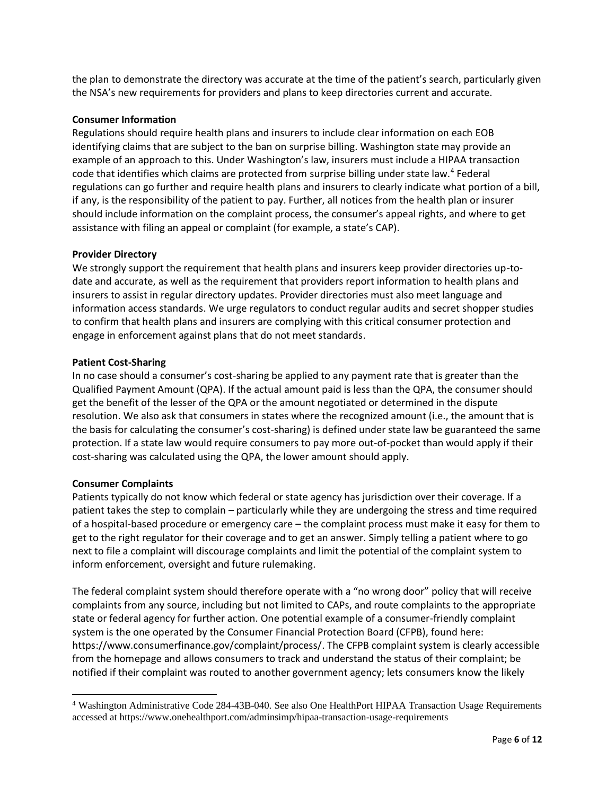the plan to demonstrate the directory was accurate at the time of the patient's search, particularly given the NSA's new requirements for providers and plans to keep directories current and accurate.

## **Consumer Information**

Regulations should require health plans and insurers to include clear information on each EOB identifying claims that are subject to the ban on surprise billing. Washington state may provide an example of an approach to this. Under Washington's law, insurers must include a HIPAA transaction code that identifies which claims are protected from surprise billing under state law.<sup>4</sup> Federal regulations can go further and require health plans and insurers to clearly indicate what portion of a bill, if any, is the responsibility of the patient to pay. Further, all notices from the health plan or insurer should include information on the complaint process, the consumer's appeal rights, and where to get assistance with filing an appeal or complaint (for example, a state's CAP).

## **Provider Directory**

We strongly support the requirement that health plans and insurers keep provider directories up-todate and accurate, as well as the requirement that providers report information to health plans and insurers to assist in regular directory updates. Provider directories must also meet language and information access standards. We urge regulators to conduct regular audits and secret shopper studies to confirm that health plans and insurers are complying with this critical consumer protection and engage in enforcement against plans that do not meet standards.

## **Patient Cost-Sharing**

In no case should a consumer's cost-sharing be applied to any payment rate that is greater than the Qualified Payment Amount (QPA). If the actual amount paid is less than the QPA, the consumer should get the benefit of the lesser of the QPA or the amount negotiated or determined in the dispute resolution. We also ask that consumers in states where the recognized amount (i.e., the amount that is the basis for calculating the consumer's cost-sharing) is defined under state law be guaranteed the same protection. If a state law would require consumers to pay more out-of-pocket than would apply if their cost-sharing was calculated using the QPA, the lower amount should apply.

#### **Consumer Complaints**

Patients typically do not know which federal or state agency has jurisdiction over their coverage. If a patient takes the step to complain – particularly while they are undergoing the stress and time required of a hospital-based procedure or emergency care – the complaint process must make it easy for them to get to the right regulator for their coverage and to get an answer. Simply telling a patient where to go next to file a complaint will discourage complaints and limit the potential of the complaint system to inform enforcement, oversight and future rulemaking.

The federal complaint system should therefore operate with a "no wrong door" policy that will receive complaints from any source, including but not limited to CAPs, and route complaints to the appropriate state or federal agency for further action. One potential example of a consumer-friendly complaint system is the one operated by the Consumer Financial Protection Board (CFPB), found here: [https://www.consumerfinance.gov/complaint/process/.](https://www.consumerfinance.gov/complaint/process/) The CFPB complaint system is clearly accessible from the homepage and allows consumers to track and understand the status of their complaint; be notified if their complaint was routed to another government agency; lets consumers know the likely

<sup>4</sup> Washington Administrative Code 284-43B-040. See also One HealthPort HIPAA Transaction Usage Requirements accessed at https://www.onehealthport.com/adminsimp/hipaa-transaction-usage-requirements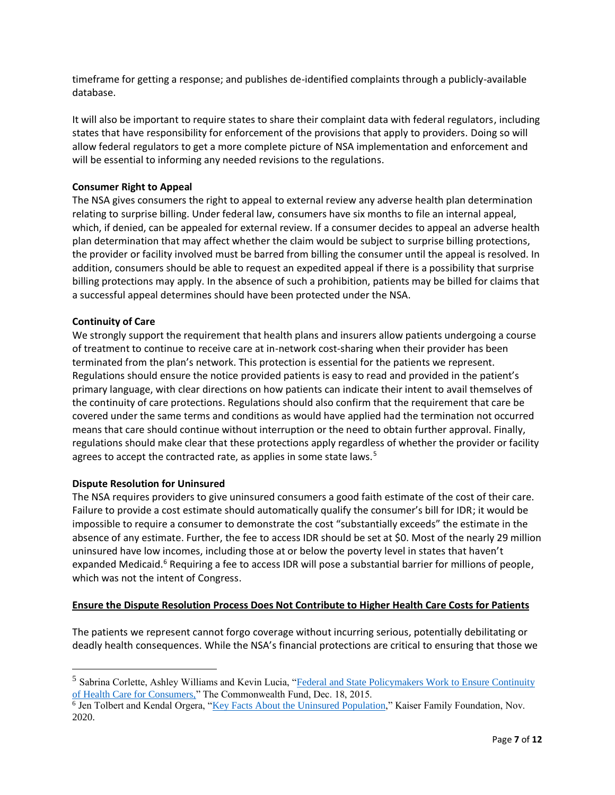timeframe for getting a response; and publishes de-identified complaints through a publicly-available database.

It will also be important to require states to share their complaint data with federal regulators, including states that have responsibility for enforcement of the provisions that apply to providers. Doing so will allow federal regulators to get a more complete picture of NSA implementation and enforcement and will be essential to informing any needed revisions to the regulations.

# **Consumer Right to Appeal**

The NSA gives consumers the right to appeal to external review any adverse health plan determination relating to surprise billing. Under federal law, consumers have six months to file an internal appeal, which, if denied, can be appealed for external review. If a consumer decides to appeal an adverse health plan determination that may affect whether the claim would be subject to surprise billing protections, the provider or facility involved must be barred from billing the consumer until the appeal is resolved. In addition, consumers should be able to request an expedited appeal if there is a possibility that surprise billing protections may apply. In the absence of such a prohibition, patients may be billed for claims that a successful appeal determines should have been protected under the NSA.

## **Continuity of Care**

We strongly support the requirement that health plans and insurers allow patients undergoing a course of treatment to continue to receive care at in-network cost-sharing when their provider has been terminated from the plan's network. This protection is essential for the patients we represent. Regulations should ensure the notice provided patients is easy to read and provided in the patient's primary language, with clear directions on how patients can indicate their intent to avail themselves of the continuity of care protections. Regulations should also confirm that the requirement that care be covered under the same terms and conditions as would have applied had the termination not occurred means that care should continue without interruption or the need to obtain further approval. Finally, regulations should make clear that these protections apply regardless of whether the provider or facility agrees to accept the contracted rate, as applies in some state laws.<sup>5</sup>

#### **Dispute Resolution for Uninsured**

The NSA requires providers to give uninsured consumers a good faith estimate of the cost of their care. Failure to provide a cost estimate should automatically qualify the consumer's bill for IDR; it would be impossible to require a consumer to demonstrate the cost "substantially exceeds" the estimate in the absence of any estimate. Further, the fee to access IDR should be set at \$0. Most of the nearly 29 million uninsured have low incomes, including those at or below the poverty level in states that haven't expanded Medicaid.<sup>6</sup> Requiring a fee to access IDR will pose a substantial barrier for millions of people, which was not the intent of Congress.

# **Ensure the Dispute Resolution Process Does Not Contribute to Higher Health Care Costs for Patients**

The patients we represent cannot forgo coverage without incurring serious, potentially debilitating or deadly health consequences. While the NSA's financial protections are critical to ensuring that those we

<sup>&</sup>lt;sup>5</sup> Sabrina Corlette, Ashley Williams and Kevin Lucia, "Federal and State Policymakers Work to Ensure Continuity [of Health Care for Consumers,"](https://www.commonwealthfund.org/blog/2015/federal-and-state-policymakers-work-ensure-continuity-health-care-consumers) The Commonwealth Fund, Dec. 18, 2015.

<sup>&</sup>lt;sup>6</sup> Jen Tolbert and Kendal Orgera, ["Key Facts About the Uninsured Population,](https://www.kff.org/uninsured/issue-brief/key-facts-about-the-uninsured-population/)" Kaiser Family Foundation, Nov. 2020.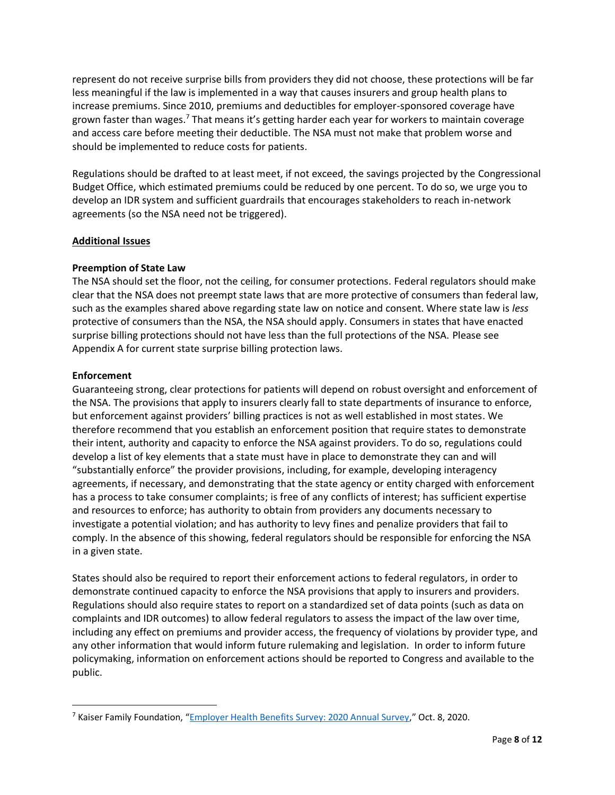represent do not receive surprise bills from providers they did not choose, these protections will be far less meaningful if the law is implemented in a way that causes insurers and group health plans to increase premiums. Since 2010, premiums and deductibles for employer-sponsored coverage have grown faster than wages.<sup>7</sup> That means it's getting harder each year for workers to maintain coverage and access care before meeting their deductible. The NSA must not make that problem worse and should be implemented to reduce costs for patients.

Regulations should be drafted to at least meet, if not exceed, the savings projected by the Congressional Budget Office, which estimated premiums could be reduced by one percent. To do so, we urge you to develop an IDR system and sufficient guardrails that encourages stakeholders to reach in-network agreements (so the NSA need not be triggered).

# **Additional Issues**

## **Preemption of State Law**

The NSA should set the floor, not the ceiling, for consumer protections. Federal regulators should make clear that the NSA does not preempt state laws that are more protective of consumers than federal law, such as the examples shared above regarding state law on notice and consent. Where state law is *less* protective of consumers than the NSA, the NSA should apply. Consumers in states that have enacted surprise billing protections should not have less than the full protections of the NSA. Please see Appendix A for current state surprise billing protection laws.

## **Enforcement**

Guaranteeing strong, clear protections for patients will depend on robust oversight and enforcement of the NSA. The provisions that apply to insurers clearly fall to state departments of insurance to enforce, but enforcement against providers' billing practices is not as well established in most states. We therefore recommend that you establish an enforcement position that require states to demonstrate their intent, authority and capacity to enforce the NSA against providers. To do so, regulations could develop a list of key elements that a state must have in place to demonstrate they can and will "substantially enforce" the provider provisions, including, for example, developing interagency agreements, if necessary, and demonstrating that the state agency or entity charged with enforcement has a process to take consumer complaints; is free of any conflicts of interest; has sufficient expertise and resources to enforce; has authority to obtain from providers any documents necessary to investigate a potential violation; and has authority to levy fines and penalize providers that fail to comply. In the absence of this showing, federal regulators should be responsible for enforcing the NSA in a given state.

States should also be required to report their enforcement actions to federal regulators, in order to demonstrate continued capacity to enforce the NSA provisions that apply to insurers and providers. Regulations should also require states to report on a standardized set of data points (such as data on complaints and IDR outcomes) to allow federal regulators to assess the impact of the law over time, including any effect on premiums and provider access, the frequency of violations by provider type, and any other information that would inform future rulemaking and legislation. In order to inform future policymaking, information on enforcement actions should be reported to Congress and available to the public.

<sup>7</sup> Kaiser Family Foundation, "[Employer Health Benefits Survey: 2020 Annual Survey](https://www.kff.org/health-costs/report/2020-employer-health-benefits-survey/)," Oct. 8, 2020.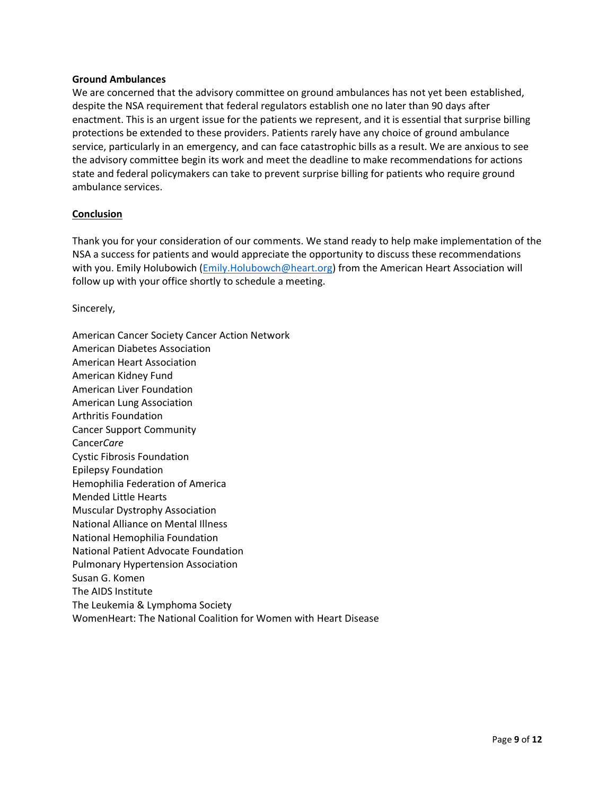#### **Ground Ambulances**

We are concerned that the advisory committee on ground ambulances has not yet been established, despite the NSA requirement that federal regulators establish one no later than 90 days after enactment. This is an urgent issue for the patients we represent, and it is essential that surprise billing protections be extended to these providers. Patients rarely have any choice of ground ambulance service, particularly in an emergency, and can face catastrophic bills as a result. We are anxious to see the advisory committee begin its work and meet the deadline to make recommendations for actions state and federal policymakers can take to prevent surprise billing for patients who require ground ambulance services.

#### **Conclusion**

Thank you for your consideration of our comments. We stand ready to help make implementation of the NSA a success for patients and would appreciate the opportunity to discuss these recommendations with you. Emily Holubowich (*Emily.Holubowch@heart.org*) from the American Heart Association will follow up with your office shortly to schedule a meeting.

Sincerely,

American Cancer Society Cancer Action Network American Diabetes Association American Heart Association American Kidney Fund American Liver Foundation American Lung Association Arthritis Foundation Cancer Support Community Cancer*Care* Cystic Fibrosis Foundation Epilepsy Foundation Hemophilia Federation of America Mended Little Hearts Muscular Dystrophy Association National Alliance on Mental Illness National Hemophilia Foundation National Patient Advocate Foundation Pulmonary Hypertension Association Susan G. Komen The AIDS Institute The Leukemia & Lymphoma Society WomenHeart: The National Coalition for Women with Heart Disease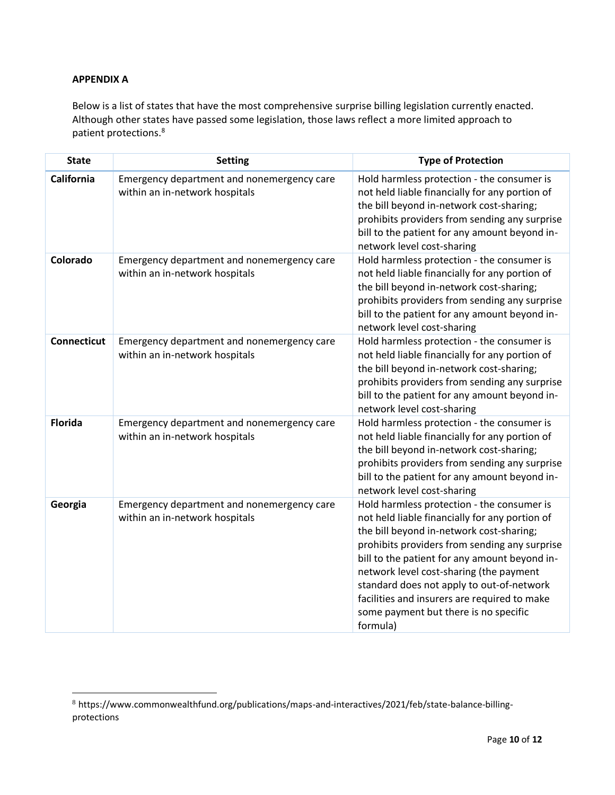# **APPENDIX A**

Below is a list of states that have the most comprehensive surprise billing legislation currently enacted. Although other states have passed some legislation, those laws reflect a more limited approach to patient protections.<sup>8</sup>

| <b>State</b>       | <b>Setting</b>                                                               | <b>Type of Protection</b>                                                                                                                                                                                                                                                                                                                                                                                                               |
|--------------------|------------------------------------------------------------------------------|-----------------------------------------------------------------------------------------------------------------------------------------------------------------------------------------------------------------------------------------------------------------------------------------------------------------------------------------------------------------------------------------------------------------------------------------|
| California         | Emergency department and nonemergency care<br>within an in-network hospitals | Hold harmless protection - the consumer is<br>not held liable financially for any portion of<br>the bill beyond in-network cost-sharing;<br>prohibits providers from sending any surprise<br>bill to the patient for any amount beyond in-<br>network level cost-sharing                                                                                                                                                                |
| Colorado           | Emergency department and nonemergency care<br>within an in-network hospitals | Hold harmless protection - the consumer is<br>not held liable financially for any portion of<br>the bill beyond in-network cost-sharing;<br>prohibits providers from sending any surprise<br>bill to the patient for any amount beyond in-<br>network level cost-sharing                                                                                                                                                                |
| <b>Connecticut</b> | Emergency department and nonemergency care<br>within an in-network hospitals | Hold harmless protection - the consumer is<br>not held liable financially for any portion of<br>the bill beyond in-network cost-sharing;<br>prohibits providers from sending any surprise<br>bill to the patient for any amount beyond in-<br>network level cost-sharing                                                                                                                                                                |
| <b>Florida</b>     | Emergency department and nonemergency care<br>within an in-network hospitals | Hold harmless protection - the consumer is<br>not held liable financially for any portion of<br>the bill beyond in-network cost-sharing;<br>prohibits providers from sending any surprise<br>bill to the patient for any amount beyond in-<br>network level cost-sharing                                                                                                                                                                |
| Georgia            | Emergency department and nonemergency care<br>within an in-network hospitals | Hold harmless protection - the consumer is<br>not held liable financially for any portion of<br>the bill beyond in-network cost-sharing;<br>prohibits providers from sending any surprise<br>bill to the patient for any amount beyond in-<br>network level cost-sharing (the payment<br>standard does not apply to out-of-network<br>facilities and insurers are required to make<br>some payment but there is no specific<br>formula) |

<sup>8</sup> https://www.commonwealthfund.org/publications/maps-and-interactives/2021/feb/state-balance-billingprotections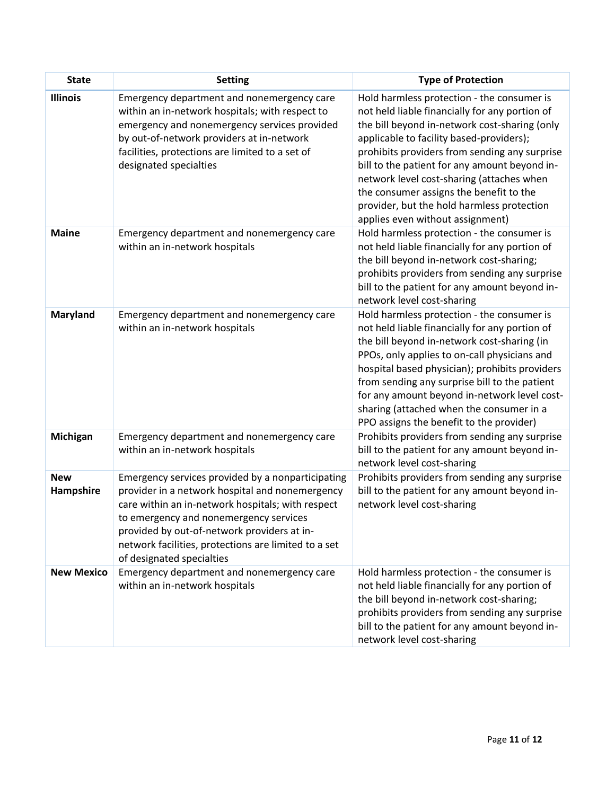| <b>State</b>            | <b>Setting</b>                                                                                                                                                                                                                                                                                                                          | <b>Type of Protection</b>                                                                                                                                                                                                                                                                                                                                                                                                                                             |
|-------------------------|-----------------------------------------------------------------------------------------------------------------------------------------------------------------------------------------------------------------------------------------------------------------------------------------------------------------------------------------|-----------------------------------------------------------------------------------------------------------------------------------------------------------------------------------------------------------------------------------------------------------------------------------------------------------------------------------------------------------------------------------------------------------------------------------------------------------------------|
| <b>Illinois</b>         | Emergency department and nonemergency care<br>within an in-network hospitals; with respect to<br>emergency and nonemergency services provided<br>by out-of-network providers at in-network<br>facilities, protections are limited to a set of<br>designated specialties                                                                 | Hold harmless protection - the consumer is<br>not held liable financially for any portion of<br>the bill beyond in-network cost-sharing (only<br>applicable to facility based-providers);<br>prohibits providers from sending any surprise<br>bill to the patient for any amount beyond in-<br>network level cost-sharing (attaches when<br>the consumer assigns the benefit to the<br>provider, but the hold harmless protection<br>applies even without assignment) |
| <b>Maine</b>            | Emergency department and nonemergency care<br>within an in-network hospitals                                                                                                                                                                                                                                                            | Hold harmless protection - the consumer is<br>not held liable financially for any portion of<br>the bill beyond in-network cost-sharing;<br>prohibits providers from sending any surprise<br>bill to the patient for any amount beyond in-<br>network level cost-sharing                                                                                                                                                                                              |
| <b>Maryland</b>         | Emergency department and nonemergency care<br>within an in-network hospitals                                                                                                                                                                                                                                                            | Hold harmless protection - the consumer is<br>not held liable financially for any portion of<br>the bill beyond in-network cost-sharing (in<br>PPOs, only applies to on-call physicians and<br>hospital based physician); prohibits providers<br>from sending any surprise bill to the patient<br>for any amount beyond in-network level cost-<br>sharing (attached when the consumer in a<br>PPO assigns the benefit to the provider)                                |
| Michigan                | Emergency department and nonemergency care<br>within an in-network hospitals                                                                                                                                                                                                                                                            | Prohibits providers from sending any surprise<br>bill to the patient for any amount beyond in-<br>network level cost-sharing                                                                                                                                                                                                                                                                                                                                          |
| <b>New</b><br>Hampshire | Emergency services provided by a nonparticipating<br>provider in a network hospital and nonemergency<br>care within an in-network hospitals; with respect<br>to emergency and nonemergency services<br>provided by out-of-network providers at in-<br>network facilities, protections are limited to a set<br>of designated specialties | Prohibits providers from sending any surprise<br>bill to the patient for any amount beyond in-<br>network level cost-sharing                                                                                                                                                                                                                                                                                                                                          |
| <b>New Mexico</b>       | Emergency department and nonemergency care<br>within an in-network hospitals                                                                                                                                                                                                                                                            | Hold harmless protection - the consumer is<br>not held liable financially for any portion of<br>the bill beyond in-network cost-sharing;<br>prohibits providers from sending any surprise<br>bill to the patient for any amount beyond in-<br>network level cost-sharing                                                                                                                                                                                              |